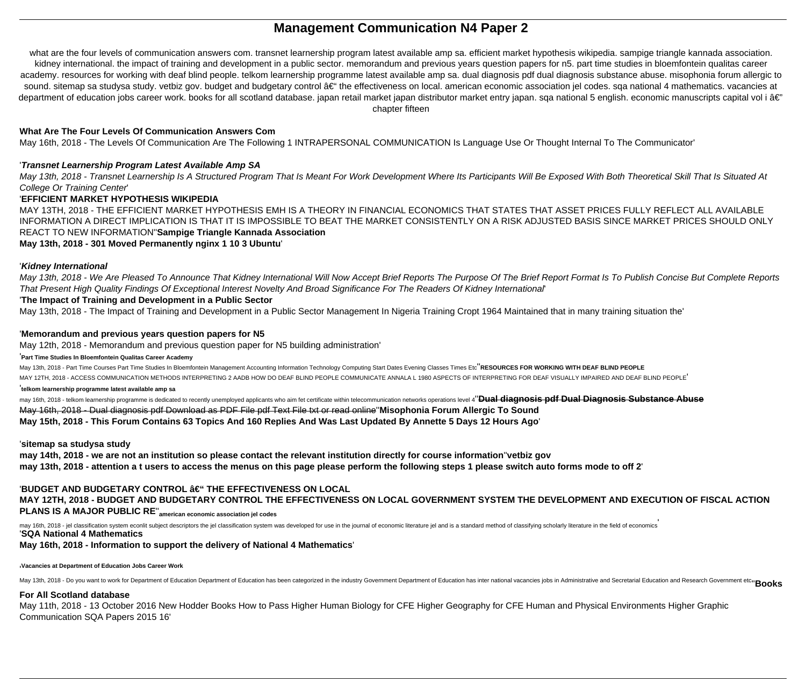# **Management Communication N4 Paper 2**

what are the four levels of communication answers com. transnet learnership program latest available amp sa. efficient market hypothesis wikipedia. sampige triangle kannada association. kidney international. the impact of training and development in a public sector. memorandum and previous years question papers for n5. part time studies in bloemfontein qualitas career academy. resources for working with deaf blind people. telkom learnership programme latest available amp sa. dual diagnosis pdf dual diagnosis substance abuse. misophonia forum allergic to sound. sitemap sa studysa study. vetbiz gov. budget and budgetary control – the effectiveness on local. american economic association jel codes. sga national 4 mathematics. vacancies at department of education jobs career work. books for all scotland database. japan retail market japan distributor market entry japan. sqa national 5 english. economic manuscripts capital vol i â€" chapter fifteen

# **What Are The Four Levels Of Communication Answers Com**

May 16th, 2018 - The Levels Of Communication Are The Following 1 INTRAPERSONAL COMMUNICATION Is Language Use Or Thought Internal To The Communicator'

May 13th, 2018 - We Are Pleased To Announce That Kidney International Will Now Accept Brief Reports The Brief Report Format Is To Publish Concise But Complete Reports That Present High Quality Findings Of Exceptional Interest Novelty And Broad Significance For The Readers Of Kidney International'

# '**Transnet Learnership Program Latest Available Amp SA**

May 13th, 2018 - Transnet Learnership Is A Structured Program That Is Meant For Work Development Where Its Participants Will Be Exposed With Both Theoretical Skill That Is Situated At College Or Training Center'

# '**EFFICIENT MARKET HYPOTHESIS WIKIPEDIA**

MAY 13TH, 2018 - THE EFFICIENT MARKET HYPOTHESIS EMH IS A THEORY IN FINANCIAL ECONOMICS THAT STATES THAT ASSET PRICES FULLY REFLECT ALL AVAILABLE INFORMATION A DIRECT IMPLICATION IS THAT IT IS IMPOSSIBLE TO BEAT THE MARKET CONSISTENTLY ON A RISK ADJUSTED BASIS SINCE MARKET PRICES SHOULD ONLY REACT TO NEW INFORMATION''**Sampige Triangle Kannada Association**

may 16th, 2018 - telkom learnership programme is dedicated to recently unemployed applicants who aim fet certificate within telecommunication networks operations level 4"Dual diagnosis pdf Dual Diagnosis Substance Abuse May 16th, 2018 - Dual diagnosis pdf Download as PDF File pdf Text File txt or read online''**Misophonia Forum Allergic To Sound May 15th, 2018 - This Forum Contains 63 Topics And 160 Replies And Was Last Updated By Annette 5 Days 12 Hours Ago**'

# **May 13th, 2018 - 301 Moved Permanently nginx 1 10 3 Ubuntu**'

# '**Kidney International**

may 16th, 2018 - jel classification system econlit subject descriptors the jel classification system was developed for use in the journal of economic literature jel and is a standard method of classifying scholarly literat '**SQA National 4 Mathematics**

# '**The Impact of Training and Development in a Public Sector**

May 13th, 2018 - The Impact of Training and Development in a Public Sector Management In Nigeria Training Cropt 1964 Maintained that in many training situation the'

# '**Memorandum and previous years question papers for N5**

May 12th, 2018 - Memorandum and previous question paper for N5 building administration'

### '**Part Time Studies In Bloemfontein Qualitas Career Academy**

May 13th, 2018 - Part Time Courses Part Time Studies In Bloemfontein Management Accounting Information Technology Computing Start Dates Evening Classes Times Etc''**RESOURCES FOR WORKING WITH DEAF BLIND PEOPLE** MAY 12TH, 2018 - ACCESS COMMUNICATION METHODS INTERPRETING 2 AADB HOW DO DEAF BLIND PEOPLE COMMUNICATE ANNALA L 1980 ASPECTS OF INTERPRETING FOR DEAF VISUALLY IMPAIRED AND DEAF BLIND PEOPLE'

### '**telkom learnership programme latest available amp sa**

# '**sitemap sa studysa study**

**may 14th, 2018 - we are not an institution so please contact the relevant institution directly for course information**''**vetbiz gov may 13th, 2018 - attention a t users to access the menus on this page please perform the following steps 1 please switch auto forms mode to off 2**'

# **'BUDGET AND BUDGETARY CONTROL â€" THE EFFECTIVENESS ON LOCAL**

**MAY 12TH, 2018 - BUDGET AND BUDGETARY CONTROL THE EFFECTIVENESS ON LOCAL GOVERNMENT SYSTEM THE DEVELOPMENT AND EXECUTION OF FISCAL ACTION PLANS IS A MAJOR PUBLIC RE**''**american economic association jel codes**

# **May 16th, 2018 - Information to support the delivery of National 4 Mathematics**'

### '**Vacancies at Department of Education Jobs Career Work**

May 13th, 2018 - Do you want to work for Department of Education Department of Education has been categorized in the industry Government Department of Education has inter national vacancies jobs in Administrative and Secre

# **For All Scotland database**

May 11th, 2018 - 13 October 2016 New Hodder Books How to Pass Higher Human Biology for CFE Higher Geography for CFE Human and Physical Environments Higher Graphic Communication SQA Papers 2015 16'